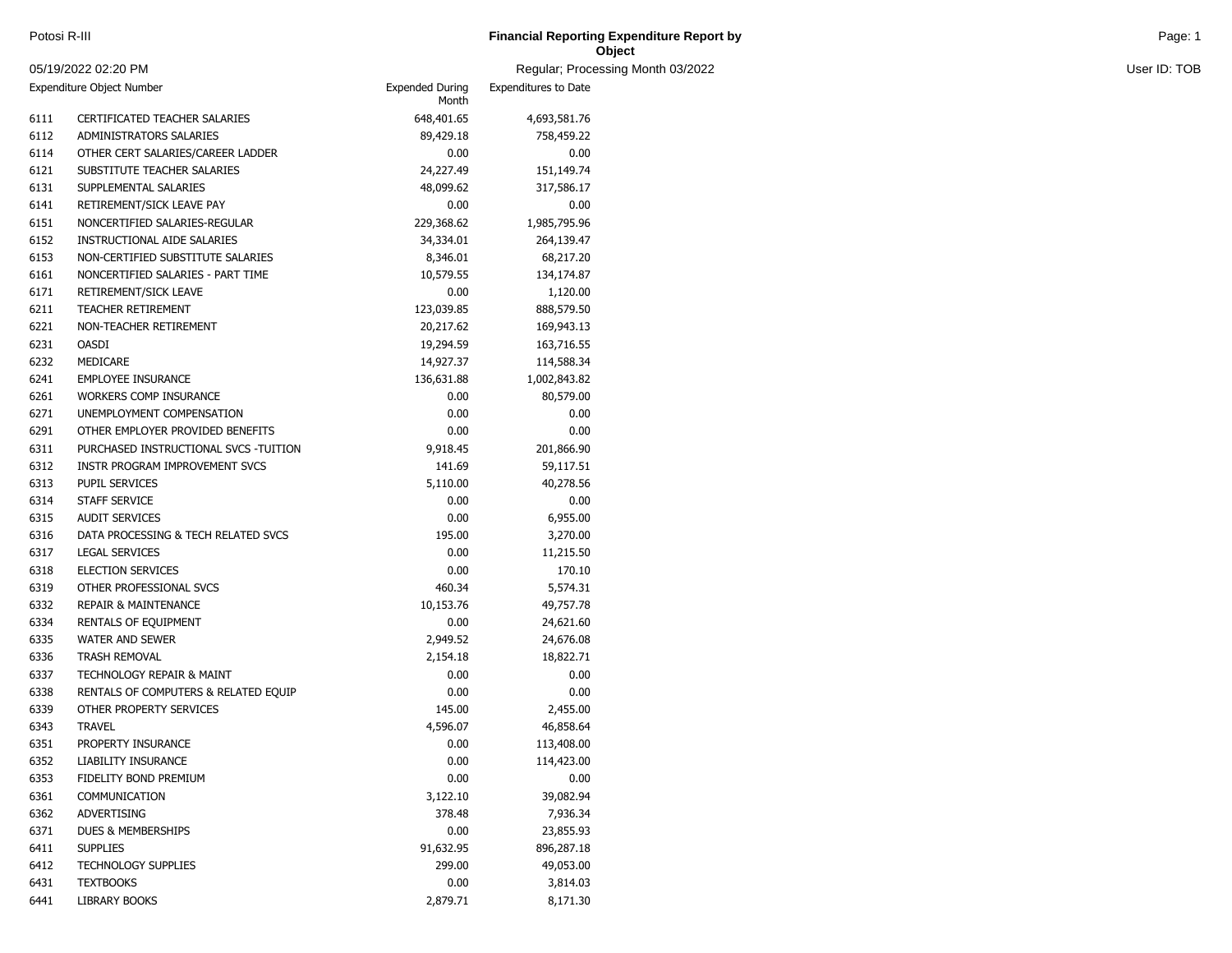| Potosi R-III        | <b>Financial Reporting Expenditure Report by</b> | Page: 1      |
|---------------------|--------------------------------------------------|--------------|
|                     | Object                                           |              |
| 05/19/2022 02:20 PM | Regular; Processing Month 03/2022                | User ID: TOB |

| 05/19/2022 02:20 PM |                                       |                                 | Regular; Processi    |
|---------------------|---------------------------------------|---------------------------------|----------------------|
|                     | Expenditure Object Number             | <b>Expended During</b><br>Month | Expenditures to Date |
| 6111                | CERTIFICATED TEACHER SALARIES         | 648,401.65                      | 4,693,581.76         |
| 6112                | ADMINISTRATORS SALARIES               | 89,429.18                       | 758,459.22           |
| 6114                | OTHER CERT SALARIES/CAREER LADDER     | 0.00                            | 0.00                 |
| 6121                | SUBSTITUTE TEACHER SALARIES           | 24,227.49                       | 151,149.74           |
| 6131                | SUPPLEMENTAL SALARIES                 | 48,099.62                       | 317,586.17           |
| 6141                | RETIREMENT/SICK LEAVE PAY             | 0.00                            | 0.00                 |
| 6151                | NONCERTIFIED SALARIES-REGULAR         | 229,368.62                      | 1,985,795.96         |
| 6152                | INSTRUCTIONAL AIDE SALARIES           | 34,334.01                       | 264,139.47           |
| 6153                | NON-CERTIFIED SUBSTITUTE SALARIES     | 8,346.01                        | 68,217.20            |
| 6161                | NONCERTIFIED SALARIES - PART TIME     | 10,579.55                       | 134,174.87           |
| 6171                | RETIREMENT/SICK LEAVE                 | 0.00                            | 1,120.00             |
| 6211                | <b>TEACHER RETIREMENT</b>             | 123,039.85                      | 888,579.50           |
| 6221                | NON-TEACHER RETIREMENT                | 20,217.62                       | 169,943.13           |
| 6231                | <b>OASDI</b>                          | 19,294.59                       | 163,716.55           |
| 6232                | MEDICARE                              | 14,927.37                       | 114,588.34           |
| 6241                | <b>EMPLOYEE INSURANCE</b>             | 136,631.88                      | 1,002,843.82         |
| 6261                | WORKERS COMP INSURANCE                | 0.00                            | 80,579.00            |
| 6271                | UNEMPLOYMENT COMPENSATION             | 0.00                            | 0.00                 |
| 6291                | OTHER EMPLOYER PROVIDED BENEFITS      | 0.00                            | 0.00                 |
| 6311                | PURCHASED INSTRUCTIONAL SVCS -TUITION | 9,918.45                        | 201,866.90           |
| 6312                | <b>INSTR PROGRAM IMPROVEMENT SVCS</b> | 141.69                          | 59,117.51            |
| 6313                | <b>PUPIL SERVICES</b>                 | 5,110.00                        | 40,278.56            |
| 6314                | STAFF SERVICE                         | 0.00                            | 0.00                 |
| 6315                | <b>AUDIT SERVICES</b>                 | 0.00                            | 6,955.00             |
| 6316                | DATA PROCESSING & TECH RELATED SVCS   | 195.00                          | 3,270.00             |
| 6317                | <b>LEGAL SERVICES</b>                 | 0.00                            | 11,215.50            |
| 6318                | <b>ELECTION SERVICES</b>              | 0.00                            | 170.10               |
| 6319                | OTHER PROFESSIONAL SVCS               | 460.34                          | 5,574.31             |
| 6332                | <b>REPAIR &amp; MAINTENANCE</b>       | 10,153.76                       | 49,757.78            |
| 6334                | RENTALS OF EQUIPMENT                  | 0.00                            | 24,621.60            |
| 6335                | <b>WATER AND SEWER</b>                | 2,949.52                        | 24,676.08            |
| 6336                | <b>TRASH REMOVAL</b>                  | 2,154.18                        | 18,822.71            |
| 6337                | TECHNOLOGY REPAIR & MAINT             | 0.00                            | 0.00                 |
| 6338                | RENTALS OF COMPUTERS & RELATED EQUIP  | 0.00                            | 0.00                 |
| 6339                | OTHER PROPERTY SERVICES               | 145.00                          | 2,455.00             |
| 6343                | <b>TRAVEL</b>                         | 4,596.07                        | 46,858.64            |
| 6351                | PROPERTY INSURANCE                    | 0.00                            | 113,408.00           |
| 6352                | LIABILITY INSURANCE                   | 0.00                            | 114,423.00           |
| 6353                | FIDELITY BOND PREMIUM                 | 0.00                            | 0.00                 |
| 6361                | COMMUNICATION                         | 3,122.10                        | 39,082.94            |
| 6362                | ADVERTISING                           | 378.48                          | 7,936.34             |
| 6371                | DUES & MEMBERSHIPS                    | 0.00                            | 23,855.93            |
| 6411                | <b>SUPPLIES</b>                       | 91,632.95                       | 896,287.18           |
| 6412                | <b>TECHNOLOGY SUPPLIES</b>            | 299.00                          | 49,053.00            |
| 6431                | <b>TEXTBOOKS</b>                      | 0.00                            | 3,814.03             |
| 6441                | LIBRARY BOOKS                         | 2,879.71                        | 8,171.30             |